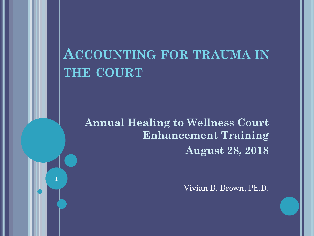### **ACCOUNTING FOR TRAUMA IN THE COURT**

**Annual Healing to Wellness Court Enhancement Training August 28, 2018**

**1**

Vivian B. Brown, Ph.D.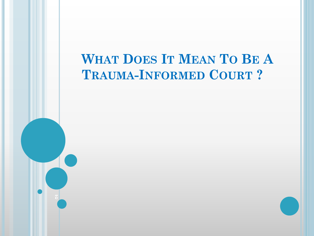#### **WHAT DOES IT MEAN TO BE A TRAUMA-INFORMED COURT ?**

**2**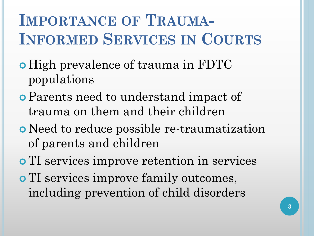# **IMPORTANCE OF TRAUMA-INFORMED SERVICES IN COURTS**

- High prevalence of trauma in FDTC populations
- Parents need to understand impact of trauma on them and their children
- Need to reduce possible re-traumatization of parents and children
- TI services improve retention in services **o** TI services improve family outcomes, including prevention of child disorders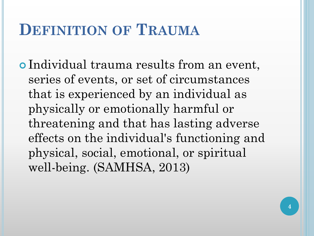### **DEFINITION OF TRAUMA**

 Individual trauma results from an event, series of events, or set of circumstances that is experienced by an individual as physically or emotionally harmful or threatening and that has lasting adverse effects on the individual's functioning and physical, social, emotional, or spiritual well-being. (SAMHSA, 2013)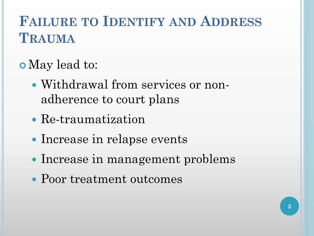### **FAILURE TO IDENTIFY AND ADDRESS TRAUMA**

- May lead to:
	- Withdrawal from services or nonadherence to court plans
	- Re-traumatization
	- Increase in relapse events
	- Increase in management problems
	- Poor treatment outcomes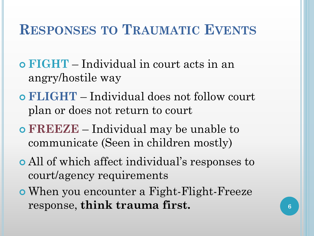#### **RESPONSES TO TRAUMATIC EVENTS**

- **FIGHT** Individual in court acts in an angry/hostile way
- **FLIGHT** Individual does not follow court plan or does not return to court
- **FREEZE** Individual may be unable to communicate (Seen in children mostly)
- All of which affect individual's responses to court/agency requirements
- When you encounter a Fight-Flight-Freeze response, **think trauma first. 6**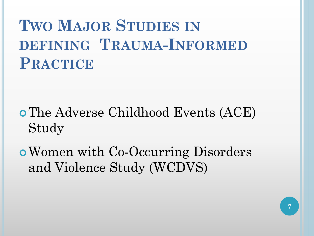# **TWO MAJOR STUDIES IN DEFINING TRAUMA-INFORMED PRACTICE**

- The Adverse Childhood Events (ACE) Study
- Women with Co-Occurring Disorders and Violence Study (WCDVS)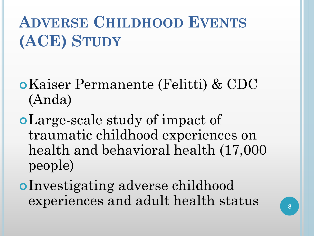# **ADVERSE CHILDHOOD EVENTS (ACE) STUDY**

- Kaiser Permanente (Felitti) & CDC (Anda)
- Large-scale study of impact of traumatic childhood experiences on health and behavioral health (17,000 people)
- Investigating adverse childhood experiences and adult health status **<sup>8</sup>**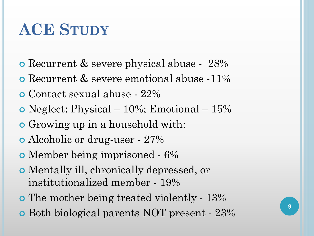# **ACE STUDY**

- Recurrent & severe physical abuse 28%
- Recurrent & severe emotional abuse -11%
- Contact sexual abuse 22%
- Neglect: Physical 10%; Emotional 15%
- Growing up in a household with:
- Alcoholic or drug-user 27%
- Member being imprisoned 6%
- Mentally ill, chronically depressed, or institutionalized member - 19%
- The mother being treated violently 13%
- Both biological parents NOT present 23%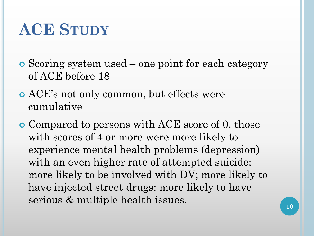# **ACE STUDY**

- Scoring system used one point for each category of ACE before 18
- ACE's not only common, but effects were cumulative
- Compared to persons with ACE score of 0, those with scores of 4 or more were more likely to experience mental health problems (depression) with an even higher rate of attempted suicide; more likely to be involved with DV; more likely to have injected street drugs: more likely to have serious & multiple health issues.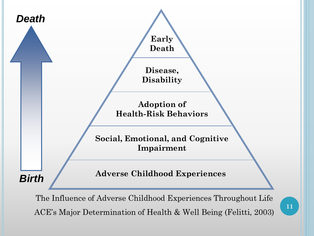

The Influence of Adverse Childhood Experiences Throughout Life ACE's Major Determination of Health & Well Being (Felitti, 2003)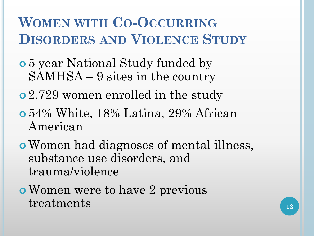### **WOMEN WITH CO-OCCURRING DISORDERS AND VIOLENCE STUDY**

- 5 year National Study funded by SAMHSA – 9 sites in the country
- 2,729 women enrolled in the study
- 54% White, 18% Latina, 29% African American
- Women had diagnoses of mental illness, substance use disorders, and trauma/violence
- Women were to have 2 previous treatments 12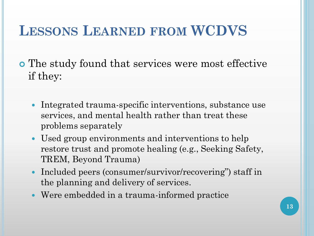#### **LESSONS LEARNED FROM WCDVS**

 The study found that services were most effective if they:

- Integrated trauma-specific interventions, substance use services, and mental health rather than treat these problems separately
- Used group environments and interventions to help restore trust and promote healing (e.g., Seeking Safety, TREM, Beyond Trauma)
- Included peers (consumer/survivor/recovering") staff in the planning and delivery of services.
- Were embedded in a trauma-informed practice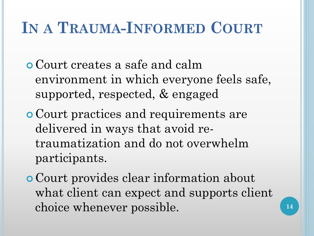# **IN A TRAUMA-INFORMED COURT**

- Court creates a safe and calm environment in which everyone feels safe, supported, respected, & engaged
- Court practices and requirements are delivered in ways that avoid retraumatization and do not overwhelm participants.
- Court provides clear information about what client can expect and supports client choice whenever possible.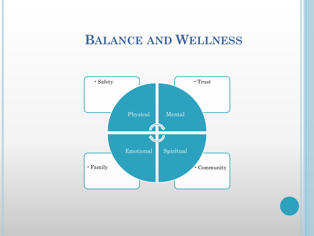#### **BALANCE AND WELLNESS**

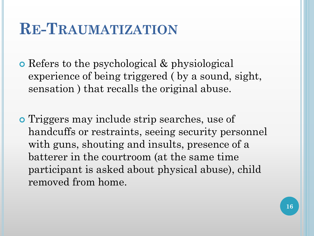### **RE-TRAUMATIZATION**

 Refers to the psychological & physiological experience of being triggered ( by a sound, sight, sensation ) that recalls the original abuse.

 Triggers may include strip searches, use of handcuffs or restraints, seeing security personnel with guns, shouting and insults, presence of a batterer in the courtroom (at the same time participant is asked about physical abuse), child removed from home.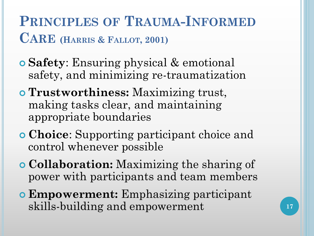**PRINCIPLES OF TRAUMA-INFORMED CARE (HARRIS & FALLOT, 2001)**

- **Safety**: Ensuring physical & emotional safety, and minimizing re-traumatization
- **Trustworthiness:** Maximizing trust, making tasks clear, and maintaining appropriate boundaries
- **Choice**: Supporting participant choice and control whenever possible
- **Collaboration:** Maximizing the sharing of power with participants and team members
- **Empowerment:** Emphasizing participant skills-building and empowerment **17**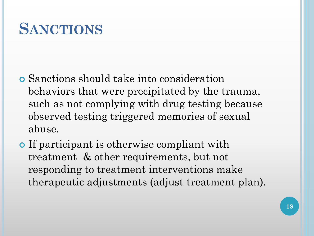# **SANCTIONS**

- Sanctions should take into consideration behaviors that were precipitated by the trauma, such as not complying with drug testing because observed testing triggered memories of sexual abuse.
- **o** If participant is otherwise compliant with treatment & other requirements, but not responding to treatment interventions make therapeutic adjustments (adjust treatment plan).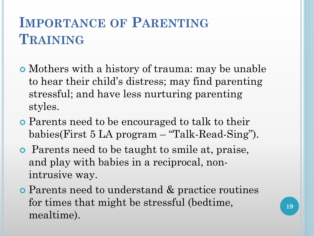### **IMPORTANCE OF PARENTING TRAINING**

- Mothers with a history of trauma: may be unable to hear their child's distress; may find parenting stressful; and have less nurturing parenting styles.
- Parents need to be encouraged to talk to their babies(First 5 LA program – "Talk-Read-Sing").
- Parents need to be taught to smile at, praise, and play with babies in a reciprocal, nonintrusive way.
- Parents need to understand & practice routines for times that might be stressful (bedtime, mealtime).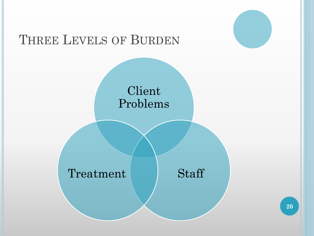#### THREE LEVELS OF BURDEN

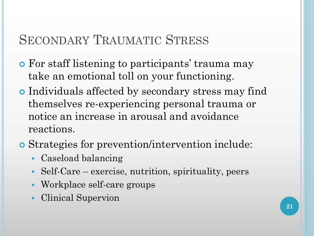#### SECONDARY TRAUMATIC STRESS

- For staff listening to participants' trauma may take an emotional toll on your functioning.
- Individuals affected by secondary stress may find themselves re-experiencing personal trauma or notice an increase in arousal and avoidance reactions.
- Strategies for prevention/intervention include:
	- Caseload balancing
	- Self-Care exercise, nutrition, spirituality, peers
	- Workplace self-care groups
	- Clinical Supervion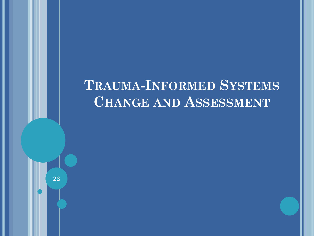#### **TRAUMA-INFORMED SYSTEMS CHANGE AND ASSESSMENT**

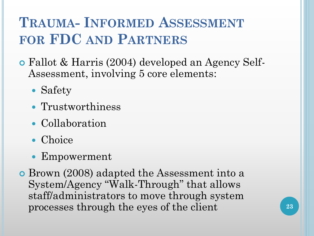### **TRAUMA- INFORMED ASSESSMENT FOR FDC AND PARTNERS**

- Fallot & Harris (2004) developed an Agency Self-Assessment, involving 5 core elements:
	- Safety
	- Trustworthiness
	- Collaboration
	- Choice
	- Empowerment
- Brown (2008) adapted the Assessment into a System/Agency "Walk-Through" that allows staff/administrators to move through system processes through the eyes of the client **23**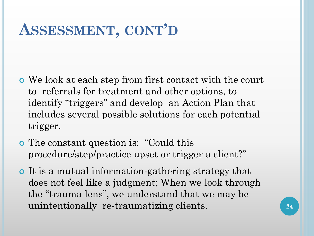### **ASSESSMENT, CONT'D**

- We look at each step from first contact with the court to referrals for treatment and other options, to identify "triggers" and develop an Action Plan that includes several possible solutions for each potential trigger.
- The constant question is: "Could this procedure/step/practice upset or trigger a client?"
- It is a mutual information-gathering strategy that does not feel like a judgment; When we look through the "trauma lens", we understand that we may be unintentionally re-traumatizing clients. **<sup>24</sup>**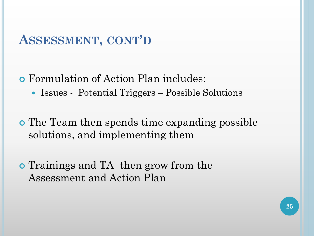#### **ASSESSMENT, CONT'D**

#### Formulation of Action Plan includes:

• Issues - Potential Triggers – Possible Solutions

 The Team then spends time expanding possible solutions, and implementing them

o Trainings and TA then grow from the Assessment and Action Plan